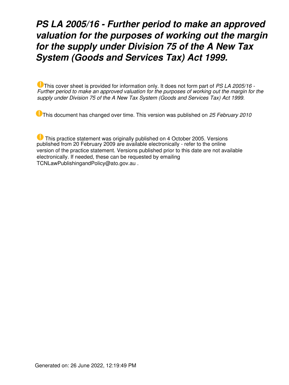# *PS LA 2005/16 - Further period to make an approved valuation for the purposes of working out the margin for the supply under Division 75 of the A New Tax System (Goods and Services Tax) Act 1999.*

This cover sheet is provided for information only. It does not form part of *PS LA 2005/16 - Further period to make an approved valuation for the purposes of working out the margin for the supply under Division 75 of the A New Tax System (Goods and Services Tax) Act 1999.*

This document has changed over time. This version was published on *25 February 2010*

 This practice statement was originally published on 4 October 2005. Versions published from 20 February 2009 are available electronically - refer to the online version of the practice statement. Versions published prior to this date are not available electronically. If needed, these can be requested by emailing TCNLawPublishingandPolicy@ato.gov.au .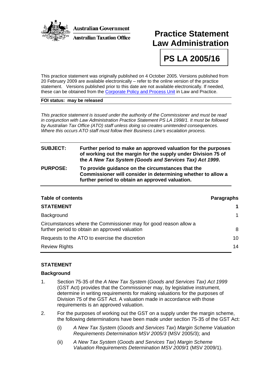

## **Practice Statement Law Administration**

**PS LA 2005/16** 

This practice statement was originally published on 4 October 2005. Versions published from 20 February 2009 are available electronically – refer to the online version of the practice statement. Versions published prior to this date are not available electronically. If needed, these can be obtained from the [Corporate Policy and Process Unit](mailto:LPSMaintenanceandSupport@ato.gov.au) in Law and Practice.

#### **FOI status: may be released**

*This practice statement is issued under the authority of the Commissioner and must be read in conjunction with Law Administration Practice Statement PS LA 1998/1. It must be followed by Australian Tax Office (ATO) staff unless doing so creates unintended consequences. Where this occurs ATO staff must follow their Business Line's escalation process.* 

### **SUBJECT: Further period to make an approved valuation for the purposes of working out the margin for the supply under Division 75 of the** *A New Tax System (Goods and Services Tax) Act 1999***.**

#### **PURPOSE: To provide guidance on the circumstances that the Commissioner will consider in determining whether to allow a further period to obtain an approved valuation.**

| <b>Table of contents</b>                                                                                           | <b>Paragraphs</b> |
|--------------------------------------------------------------------------------------------------------------------|-------------------|
| <b>STATEMENT</b>                                                                                                   |                   |
| Background                                                                                                         |                   |
| Circumstances where the Commissioner may for good reason allow a<br>further period to obtain an approved valuation | 8                 |
| Requests to the ATO to exercise the discretion                                                                     | 10                |
| <b>Review Rights</b>                                                                                               | 14                |

#### **STATEMENT**

#### **Background**

- 1. Section 75-35 of the *A New Tax System* (*Goods and Services Tax) Act 1999* (GST Act) provides that the Commissioner may, by legislative instrument, determine in writing requirements for making valuations for the purposes of Division 75 of the GST Act. A valuation made in accordance with those requirements is an approved valuation.
- 2. For the purposes of working out the GST on a supply under the margin scheme, the following determinations have been made under section 75-35 of the GST Act:
	- (i) *A New Tax System* (*Goods and Services Tax*) *Margin Scheme Valuation Requirements Determination MSV 2005/3* (MSV 2005/3); and
	- (ii) *A New Tax System* (*Goods and Services Tax*) *Margin Scheme Valuation Requirements Determination MSV 2009/1* (MSV 2009/1).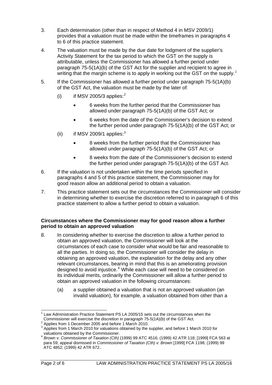- 3. Each determination (other than in respect of Method 4 in MSV 2009/1) provides that a valuation must be made within the timeframes in paragraphs 4 to 6 of this practice statement.
- 4. The valuation must be made by the due date for lodgment of the supplier's Activity Statement for the tax period to which the GST on the supply is attributable, unless the Commissioner has allowed a further period under paragraph 75-5(1A)(b) of the GST Act for the supplier and recipient to agree in writing that the margin scheme is to apply in working out the GST on the supply.<sup>[1](#page-2-0)</sup>
- 5. If the Commissioner has allowed a further period under paragraph 75-5(1A)(b) of the GST Act, the valuation must be made by the later of:
	- (i) if MSV [2](#page-2-1)005/3 applies: $^2$ 
		- 6 weeks from the further period that the Commissioner has allowed under paragraph 75-5(1A)(b) of the GST Act; or
		- 6 weeks from the date of the Commissioner's decision to extend the further period under paragraph 75-5(1A)(b) of the GST Act; or
	- (ii) if MSV 2009/1 applies: $3$ 
		- 8 weeks from the further period that the Commissioner has allowed under paragraph 75-5(1A)(b) of the GST Act; or
		- 8 weeks from the date of the Commissioner's decision to extend the further period under paragraph 75-5(1A)(b) of the GST Act.
- 6. If the valuation is not undertaken within the time periods specified in paragraphs 4 and 5 of this practice statement, the Commissioner may for good reason allow an additional period to obtain a valuation.
- 7. This practice statement sets out the circumstances the Commissioner will consider in determining whether to exercise the discretion referred to in paragraph 6 of this practice statement to allow a further period to obtain a valuation.

#### **Circumstances where the Commissioner may for good reason allow a further period to obtain an approved valuation**

- 8. In considering whether to exercise the discretion to allow a further period to obtain an approved valuation, the Commissioner will look at the circumstances of each case to consider what would be fair and reasonable to all the parties. In doing so, the Commissioner will consider the delay in obtaining an approved valuation, the explanation for the delay and any other relevant circumstances, bearing in mind that this is an ameliorating provision designed to avoid injustice.<sup>[4](#page-2-3)</sup> While each case will need to be considered on its individual merits, ordinarily the Commissioner will allow a further period to obtain an approved valuation in the following circumstances:
	- (a) a supplier obtained a valuation that is not an approved valuation (an invalid valuation), for example, a valuation obtained from other than a

<span id="page-2-0"></span>j <sup>1</sup> Law Administration Practice Statement PS LA 2005/15 sets out the circumstances when the Commissioner will exercise the discretion in paragraph 75-5(1A)(b) of the GST Act. 2 Applies from 1 December 2005 and before 1 March 2010.

<span id="page-2-1"></span>

<span id="page-2-2"></span> $3$  Applies from 1 March 2010 for valuations obtained by the supplier, and before 1 March 2010 for valuations obtained by the Commissioner.

<span id="page-2-3"></span><sup>4</sup> *Brown v. Commissioner of Taxation (Cth)* (1999) 99 ATC 4516; (1999) 42 ATR 118; [1999] FCA 563 at para 59; appeal dismissed in *Commissioner of Taxation (Cth) v. Brown* [1999] FCA 1198; (1999) 99 ATC 4852; (1999) 42 ATR 672..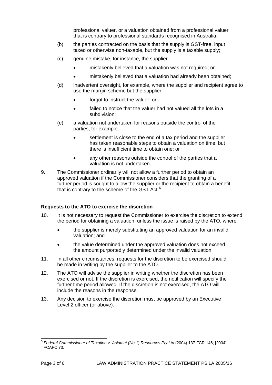professional valuer, or a valuation obtained from a professional valuer that is contrary to professional standards recognised in Australia;

- (b) the parties contracted on the basis that the supply is GST-free, input taxed or otherwise non-taxable, but the supply is a taxable supply;
- (c) genuine mistake, for instance, the supplier:
	- mistakenly believed that a valuation was not required; or
	- mistakenly believed that a valuation had already been obtained;
- (d) inadvertent oversight, for example, where the supplier and recipient agree to use the margin scheme but the supplier:
	- forgot to instruct the valuer; or
	- failed to notice that the valuer had not valued all the lots in a subdivision;
- (e) a valuation not undertaken for reasons outside the control of the parties, for example:
	- settlement is close to the end of a tax period and the supplier has taken reasonable steps to obtain a valuation on time, but there is insufficient time to obtain one; or
	- any other reasons outside the control of the parties that a valuation is not undertaken.
- 9. The Commissioner ordinarily will not allow a further period to obtain an approved valuation if the Commissioner considers that the granting of a further period is sought to allow the supplier or the recipient to obtain a benefit that is contrary to the scheme of the GST Act.<sup>[5](#page-3-0)</sup>

#### **Requests to the ATO to exercise the discretion**

- 10. It is not necessary to request the Commissioner to exercise the discretion to extend the period for obtaining a valuation, unless the issue is raised by the ATO, where:
	- the supplier is merely substituting an approved valuation for an invalid valuation; and
	- the value determined under the approved valuation does not exceed the amount purportedly determined under the invalid valuation.
- 11. In all other circumstances, requests for the discretion to be exercised should be made in writing by the supplier to the ATO.
- 12. The ATO will advise the supplier in writing whether the discretion has been exercised or not. If the discretion is exercised, the notification will specify the further time period allowed. If the discretion is not exercised, the ATO will include the reasons in the response.
- 13. Any decision to exercise the discretion must be approved by an Executive Level 2 officer (or above).

<span id="page-3-0"></span>l <sup>5</sup> *Federal Commissioner of Taxation v. Asiamet (No.1) Resources Pty Ltd* (2004) 137 FCR 146; [2004] FCAFC 73.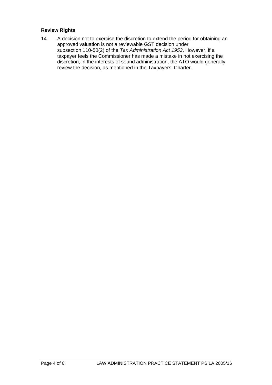#### **Review Rights**

14. A decision not to exercise the discretion to extend the period for obtaining an approved valuation is not a reviewable GST decision under subsection 110-50(2) of the *Tax Administration Act 1953*. However, if a taxpayer feels the Commissioner has made a mistake in not exercising the discretion, in the interests of sound administration, the ATO would generally review the decision, as mentioned in the Taxpayers' Charter.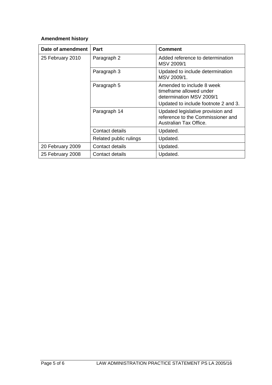## **Amendment history**

| Date of amendment | Part                   | <b>Comment</b>                                                                                                           |
|-------------------|------------------------|--------------------------------------------------------------------------------------------------------------------------|
| 25 February 2010  | Paragraph 2            | Added reference to determination<br>MSV 2009/1                                                                           |
|                   | Paragraph 3            | Updated to include determination<br>MSV 2009/1.                                                                          |
|                   | Paragraph 5            | Amended to include 8 week<br>timeframe allowed under<br>determination MSV 2009/1<br>Updated to include footnote 2 and 3. |
|                   | Paragraph 14           | Updated legislative provision and<br>reference to the Commissioner and<br>Australian Tax Office.                         |
|                   | Contact details        | Updated.                                                                                                                 |
|                   | Related public rulings | Updated.                                                                                                                 |
| 20 February 2009  | Contact details        | Updated.                                                                                                                 |
| 25 February 2008  | Contact details        | Updated.                                                                                                                 |